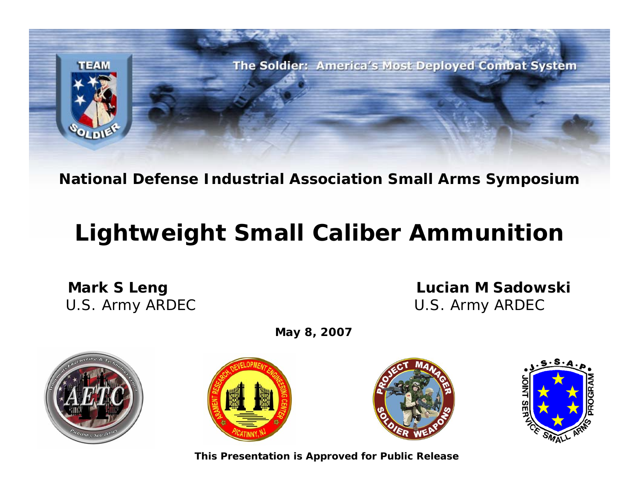

**National Defense Industrial Association Small Arms Symposium**

## **Lightweight Small Caliber Ammunition**

**Mark S Leng Construction Construction Construction Construction Construction M Sadowski** U.S. Army ARDEC U.S. Army ARDEC



**May 8, 2007**







**This Presentation is Approved for Public Release**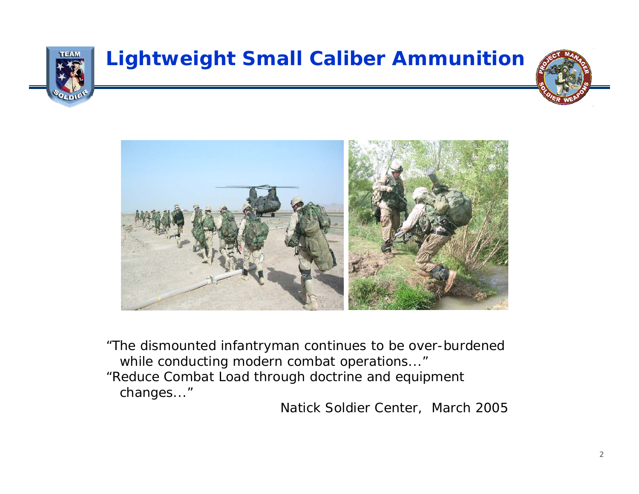

### **Lightweight Small Caliber Ammunition**





"The dismounted infantryman continues to be over-burdened while conducting modern combat operations..."

"Reduce Combat Load through doctrine and equipment changes..."

Natick Soldier Center, March 2005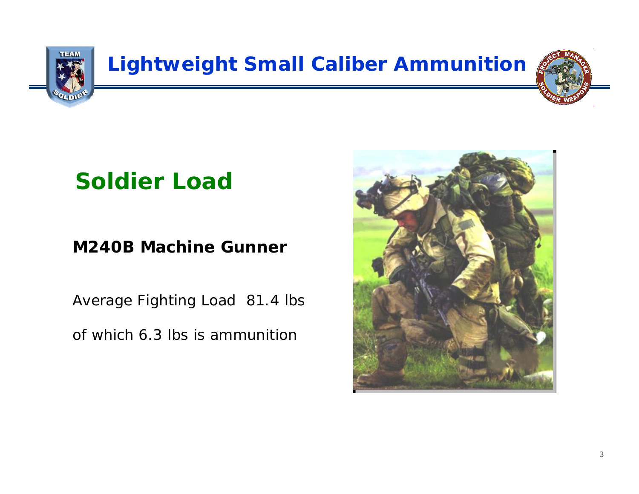

## **Soldier Load**

#### **M240B Machine Gunner**

Average Fighting Load 81.4 lbs of which 6.3 lbs is ammunition

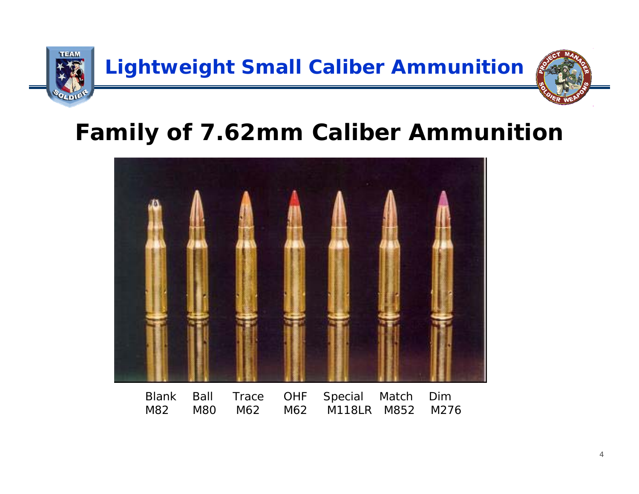

## **Family of 7.62mm Caliber Ammunition**



Blank Ball Trace OHF Special Match Dim M82 M80 M62 M62 M118LR M852 M276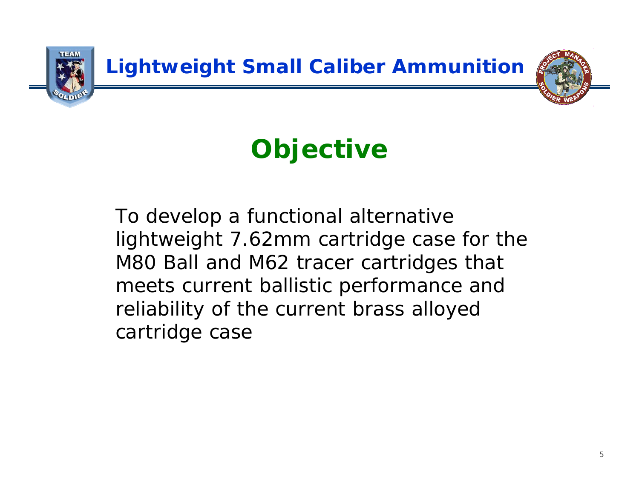

# *Objective*

To develop a functional alternative lightweight 7.62mm cartridge case for the M80 Ball and M62 tracer cartridges that meets current ballistic performance and reliability of the current brass alloyed cartridge case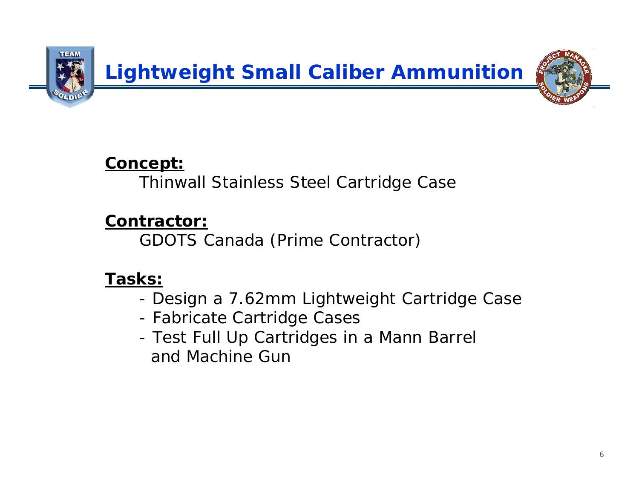

#### **Concept:**

Thinwall Stainless Steel Cartridge Case

#### **Contractor:**

GDOTS Canada (Prime Contractor)

#### **Tasks:**

- -Design a 7.62mm Lightweight Cartridge Case
- -Fabricate Cartridge Cases
- - Test Full Up Cartridges in a Mann Barrel and Machine Gun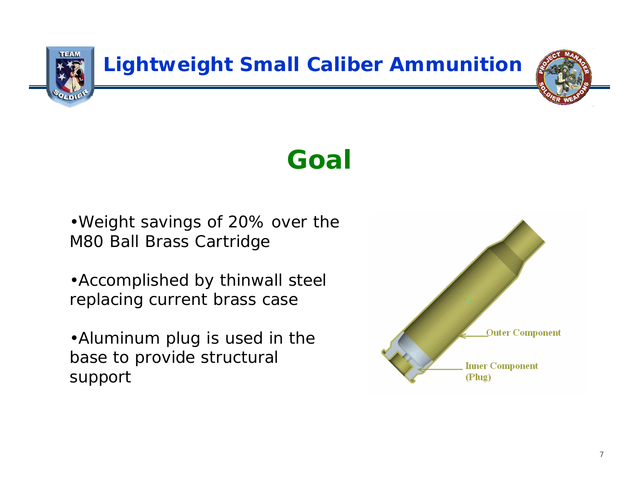

## *Goal*

•Weight savings of 20% over the M80 Ball Brass Cartridge

•Accomplished by thinwall steel replacing current brass case

•Aluminum plug is used in the base to provide structural support

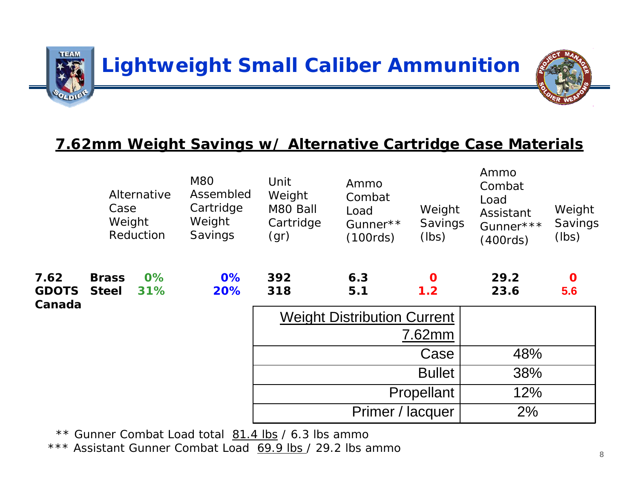

#### **7.62mm Weight Savings w/ Alternative Cartridge Case Materials**

|                                | Alternative<br>Case<br>Weight<br>Reduction |              | <b>M80</b><br>Assembled<br>Cartridge<br>Weight<br>Savings | Unit<br>Weight<br>M80 Ball<br>Cartridge<br>(gr) | Ammo<br>Combat<br>Load<br>Gunner**<br>(100 <sub>rds</sub> ) | Weight<br>Savings<br>(lbs) | Ammo<br>Combat<br>Load<br>Assistant<br>Gunner***<br>(400 <sub>rds</sub> ) | Weight<br>Savings<br>(lbs) |
|--------------------------------|--------------------------------------------|--------------|-----------------------------------------------------------|-------------------------------------------------|-------------------------------------------------------------|----------------------------|---------------------------------------------------------------------------|----------------------------|
| 7.62<br><b>GDOTS</b><br>Canada | <b>Brass</b><br><b>Steel</b>               | $0\%$<br>31% | $0\%$<br>20%                                              | 392<br>318                                      | 6.3<br>5.1                                                  | $\mathbf 0$<br>1.2         | 29.2<br>23.6                                                              | $\mathbf 0$<br>5.6         |
|                                |                                            |              |                                                           | <b>Weight Distribution Current</b><br>7.62mm    |                                                             |                            |                                                                           |                            |
|                                |                                            |              |                                                           | Case                                            |                                                             |                            | 48%                                                                       |                            |
|                                |                                            |              |                                                           | <b>Bullet</b>                                   |                                                             |                            | 38%                                                                       |                            |
|                                |                                            |              |                                                           | Propellant                                      |                                                             |                            | 12%                                                                       |                            |
|                                |                                            |              |                                                           | Primer / lacquer                                |                                                             |                            | 2%                                                                        |                            |
|                                |                                            |              |                                                           |                                                 |                                                             |                            |                                                                           |                            |

\*\* Gunner Combat Load total 81.4 lbs / 6.3 lbs ammo

\*\*\* Assistant Gunner Combat Load 69.9 lbs / 29.2 lbs ammo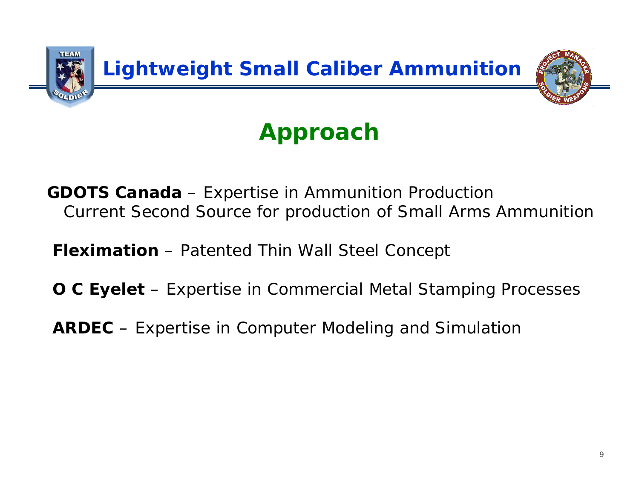

# *Approach*

**GDOTS Canada** – Expertise in Ammunition Production Current Second Source for production of Small Arms Ammunition

**Fleximation** – Patented Thin Wall Steel Concept

**O C Eyelet** – Expertise in Commercial Metal Stamping Processes

**ARDEC** – Expertise in Computer Modeling and Simulation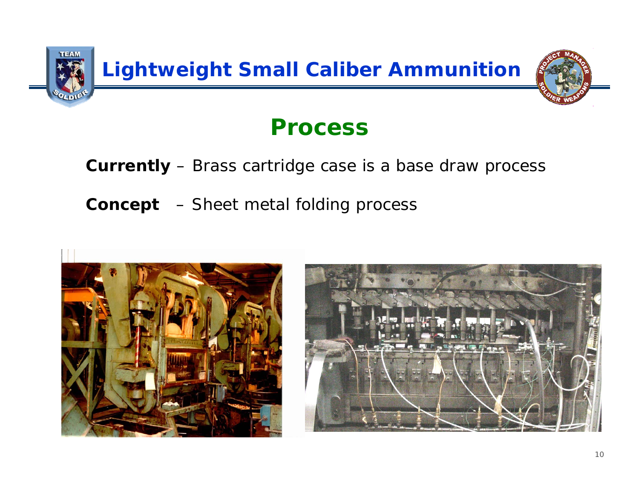

## *Process*

#### **Currently** – Brass cartridge case is a base draw process

**Concept** – Sheet metal folding process

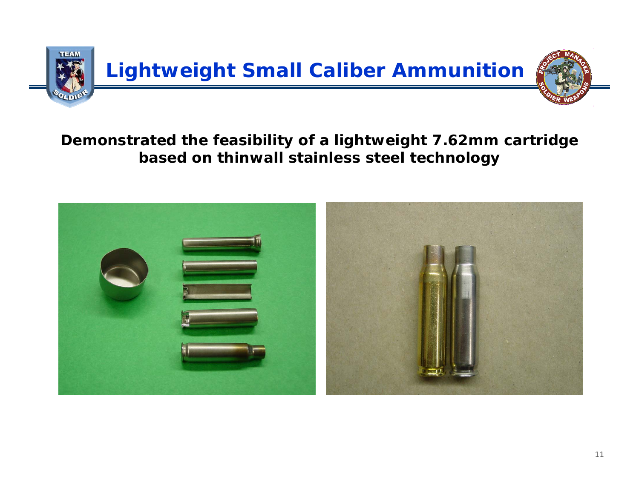

#### **Demonstrated the feasibility of a lightweight 7.62mm cartridge based on thinwall stainless steel technology**

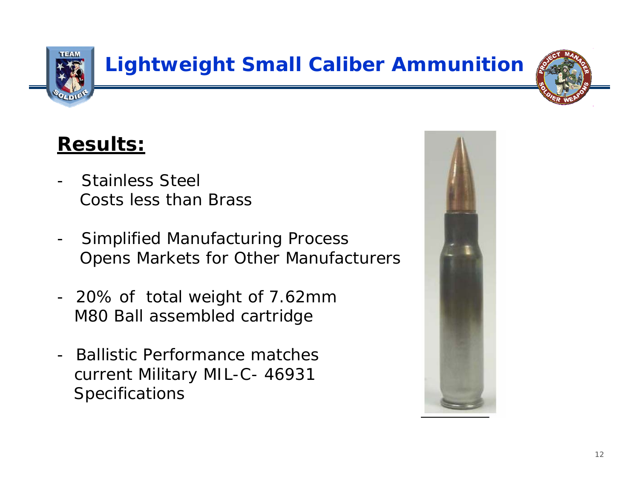

## **Lightweight Small Caliber Ammunition**



## **Results:**

- - Stainless SteelCosts less than Brass
- - Simplified Manufacturing Process Opens Markets for Other Manufacturers
- - 20% of total weight of 7.62mm M80 Ball assembled cartridge
- Ballistic Performance matches current Military MIL-C- 46931 Specifications